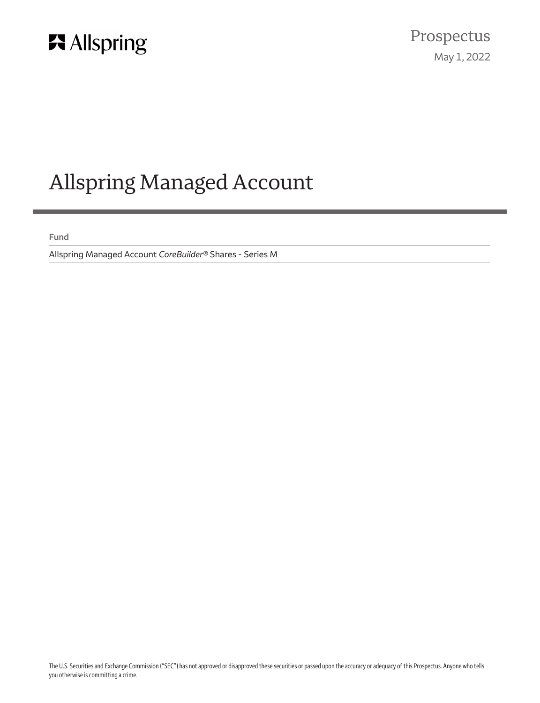

# Allspring Managed Account

**Fund**

Allspring Managed Account *CoreBuilder®* Shares - Series M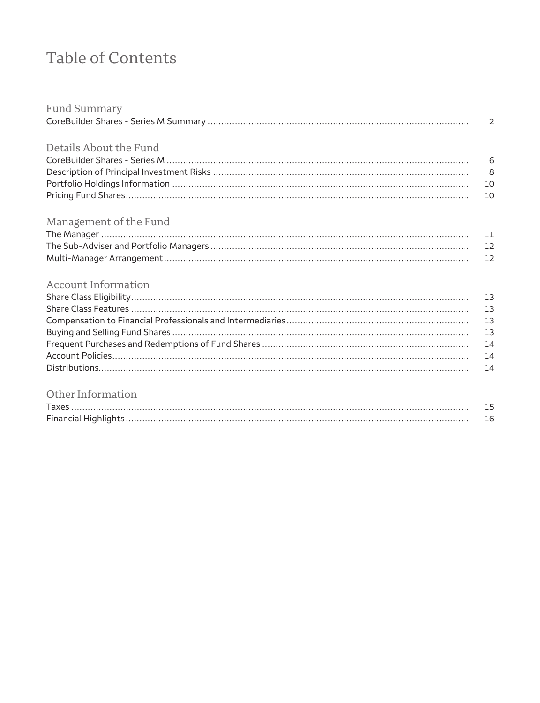## Table of Contents

| <b>Fund Summary</b>        |                |
|----------------------------|----------------|
|                            | $\overline{2}$ |
| Details About the Fund     |                |
|                            |                |
|                            |                |
|                            |                |
|                            | 10             |
|                            |                |
| Management of the Fund     |                |
|                            |                |
|                            |                |
|                            | 12             |
|                            |                |
| <b>Account Information</b> |                |
|                            |                |
|                            | 13             |
|                            | 13             |
|                            | 13             |
|                            | 14             |
|                            | 14             |
|                            | 14             |
|                            |                |

### Other Information

| <b>Taxes</b> |  |
|--------------|--|
|              |  |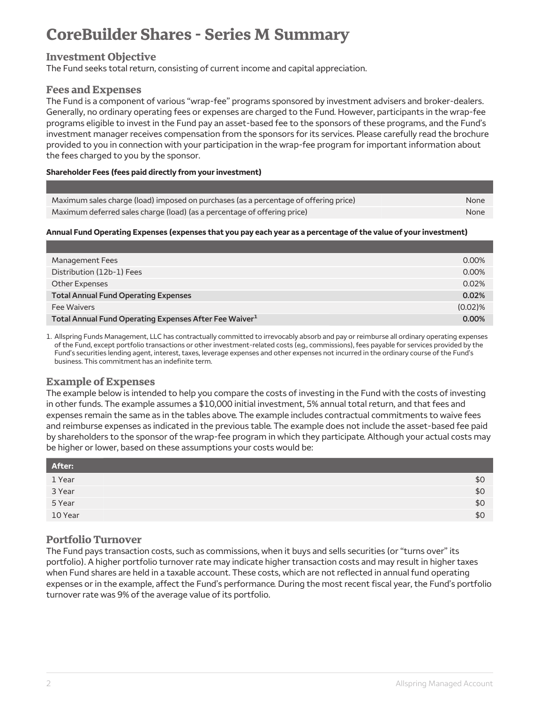### <span id="page-2-0"></span>**CoreBuilder Shares - Series M Summary**

#### **Investment Objective**

The Fund seeks total return, consisting of current income and capital appreciation.

#### **Fees and Expenses**

The Fund is a component of various "wrap-fee" programs sponsored by investment advisers and broker-dealers. Generally, no ordinary operating fees or expenses are charged to the Fund. However, participants in the wrap-fee programs eligible to invest in the Fund pay an asset-based fee to the sponsors of these programs, and the Fund's investment manager receives compensation from the sponsors for its services. Please carefully read the brochure provided to you in connection with your participation in the wrap-fee program for important information about the fees charged to you by the sponsor.

#### **Shareholder Fees (fees paid directly from your investment)**

| Maximum sales charge (load) imposed on purchases (as a percentage of offering price)<br>None |  |
|----------------------------------------------------------------------------------------------|--|
| Maximum deferred sales charge (load) (as a percentage of offering price)<br>None             |  |

#### **Annual Fund Operating Expenses (expenses that you pay each year as a percentage of the value of your investment)**

| Management Fees                                                    | 0.00%   |
|--------------------------------------------------------------------|---------|
| Distribution (12b-1) Fees                                          | 0.00%   |
| Other Expenses                                                     | 0.02%   |
| <b>Total Annual Fund Operating Expenses</b>                        | 0.02%   |
| Fee Waivers                                                        | (0.02)% |
| Total Annual Fund Operating Expenses After Fee Waiver <sup>1</sup> | 0.00%   |

1. Allspring Funds Management, LLC has contractually committed to irrevocably absorb and pay or reimburse all ordinary operating expenses of the Fund, except portfolio transactions or other investment-related costs (e.g., commissions), fees payable for services provided by the Fund's securities lending agent, interest, taxes, leverage expenses and other expenses not incurred in the ordinary course of the Fund's business. This commitment has an indefinite term.

#### **Example of Expenses**

The example below is intended to help you compare the costs of investing in the Fund with the costs of investing in other funds. The example assumes a \$10,000 initial investment, 5% annual total return, and that fees and expenses remain the same as in the tables above. The example includes contractual commitments to waive fees and reimburse expenses as indicated in the previous table. The example does not include the asset-based fee paid by shareholders to the sponsor of the wrap-fee program in which they participate. Although your actual costs may be higher or lower, based on these assumptions your costs would be:

| After:  |     |
|---------|-----|
| 1 Year  | \$0 |
| 3 Year  | \$0 |
| 5 Year  | \$0 |
| 10 Year | \$0 |

#### **Portfolio Turnover**

The Fund pays transaction costs, such as commissions, when it buys and sells securities (or "turns over" its portfolio). A higher portfolio turnover rate may indicate higher transaction costs and may result in higher taxes when Fund shares are held in a taxable account. These costs, which are not reflected in annual fund operating expenses or in the example, affect the Fund's performance. During the most recent fiscal year, the Fund's portfolio turnover rate was 9% of the average value of its portfolio.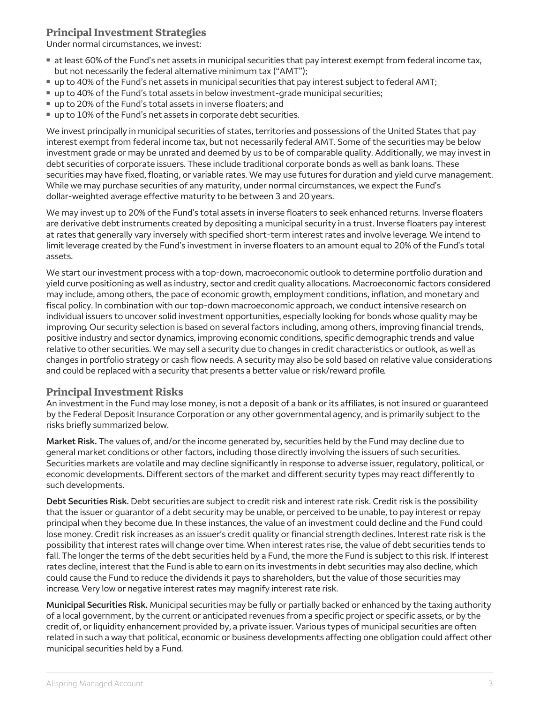#### **Principal Investment Strategies**

Under normal circumstances, we invest:

- $\blacksquare$  at least 60% of the Fund's net assets in municipal securities that pay interest exempt from federal income tax, but not necessarily the federal alternative minimum tax ("AMT");
- up to 40% of the Fund's net assets in municipal securities that pay interest subject to federal AMT;
- **up to 40% of the Fund's total assets in below investment-grade municipal securities;**
- up to 20% of the Fund's total assets in inverse floaters; and
- $\blacksquare$  up to 10% of the Fund's net assets in corporate debt securities.

We invest principally in municipal securities of states, territories and possessions of the United States that pay interest exempt from federal income tax, but not necessarily federal AMT. Some of the securities may be below investment grade or may be unrated and deemed by us to be of comparable quality. Additionally, we may invest in debt securities of corporate issuers. These include traditional corporate bonds as well as bank loans. These securities may have fixed, floating, or variable rates. We may use futures for duration and yield curve management. While we may purchase securities of any maturity, under normal circumstances, we expect the Fund's dollar-weighted average effective maturity to be between 3 and 20 years.

We may invest up to 20% of the Fund's total assets in inverse floaters to seek enhanced returns. Inverse floaters are derivative debt instruments created by depositing a municipal security in a trust. Inverse floaters pay interest at rates that generally vary inversely with specified short-term interest rates and involve leverage. We intend to limit leverage created by the Fund's investment in inverse floaters to an amount equal to 20% of the Fund's total assets.

We start our investment process with a top-down, macroeconomic outlook to determine portfolio duration and yield curve positioning as well as industry, sector and credit quality allocations. Macroeconomic factors considered may include, among others, the pace of economic growth, employment conditions, inflation, and monetary and fiscal policy. In combination with our top-down macroeconomic approach, we conduct intensive research on individual issuers to uncover solid investment opportunities, especially looking for bonds whose quality may be improving. Our security selection is based on several factors including, among others, improving financial trends, positive industry and sector dynamics, improving economic conditions, specific demographic trends and value relative to other securities. We may sell a security due to changes in credit characteristics or outlook, as well as changes in portfolio strategy or cash flow needs. A security may also be sold based on relative value considerations and could be replaced with a security that presents a better value or risk/reward profile.

#### **Principal Investment Risks**

An investment in the Fund may lose money, is not a deposit of a bank or its affiliates, is not insured or guaranteed by the Federal Deposit Insurance Corporation or any other governmental agency, and is primarily subject to the risks briefly summarized below.

**Market Risk.** The values of, and/or the income generated by, securities held by the Fund may decline due to general market conditions or other factors, including those directly involving the issuers of such securities. Securities markets are volatile and may decline significantly in response to adverse issuer, regulatory, political, or economic developments. Different sectors of the market and different security types may react differently to such developments.

**Debt Securities Risk.** Debt securities are subject to credit risk and interest rate risk. Credit risk is the possibility that the issuer or guarantor of a debt security may be unable, or perceived to be unable, to pay interest or repay principal when they become due. In these instances, the value of an investment could decline and the Fund could lose money. Credit risk increases as an issuer's credit quality or financial strength declines. Interest rate risk is the possibility that interest rates will change over time. When interest rates rise, the value of debt securities tends to fall. The longer the terms of the debt securities held by a Fund, the more the Fund is subject to this risk. If interest rates decline, interest that the Fund is able to earn on its investments in debt securities may also decline, which could cause the Fund to reduce the dividends it pays to shareholders, but the value of those securities may increase. Very low or negative interest rates may magnify interest rate risk.

**Municipal Securities Risk.** Municipal securities may be fully or partially backed or enhanced by the taxing authority of a local government, by the current or anticipated revenues from a specific project or specific assets, or by the credit of, or liquidity enhancement provided by, a private issuer. Various types of municipal securities are often related in such a way that political, economic or business developments affecting one obligation could affect other municipal securities held by a Fund.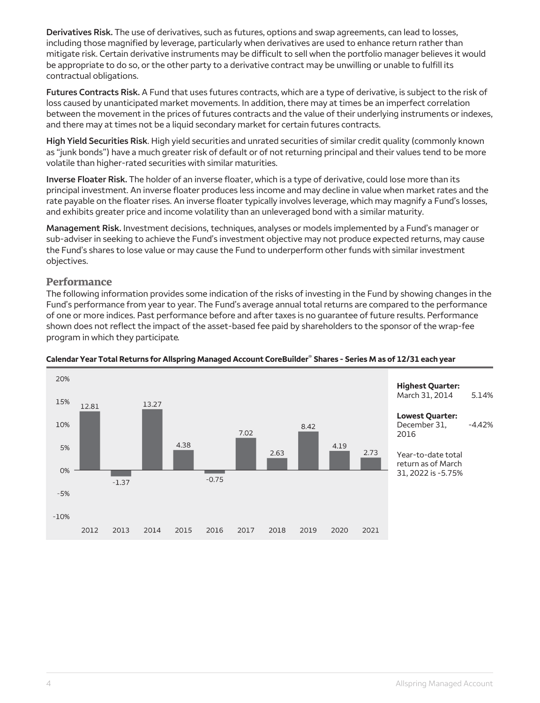**Derivatives Risk.** The use of derivatives, such as futures, options and swap agreements, can lead to losses, including those magnified by leverage, particularly when derivatives are used to enhance return rather than mitigate risk. Certain derivative instruments may be difficult to sell when the portfolio manager believes it would be appropriate to do so, or the other party to a derivative contract may be unwilling or unable to fulfill its contractual obligations.

**Futures Contracts Risk.** A Fund that uses futures contracts, which are a type of derivative, is subject to the risk of loss caused by unanticipated market movements. In addition, there may at times be an imperfect correlation between the movement in the prices of futures contracts and the value of their underlying instruments or indexes, and there may at times not be a liquid secondary market for certain futures contracts.

**High Yield Securities Risk**. High yield securities and unrated securities of similar credit quality (commonly known as "junk bonds") have a much greater risk of default or of not returning principal and their values tend to be more volatile than higher-rated securities with similar maturities.

**Inverse Floater Risk.** The holder of an inverse floater, which is a type of derivative, could lose more than its principal investment. An inverse floater produces less income and may decline in value when market rates and the rate payable on the floater rises. An inverse floater typically involves leverage, which may magnify a Fund's losses, and exhibits greater price and income volatility than an unleveraged bond with a similar maturity.

**Management Risk.** Investment decisions, techniques, analyses or models implemented by a Fund's manager or sub-adviser in seeking to achieve the Fund's investment objective may not produce expected returns, may cause the Fund's shares to lose value or may cause the Fund to underperform other funds with similar investment objectives.

#### **Performance**

The following information provides some indication of the risks of investing in the Fund by showing changes in the Fund's performance from year to year. The Fund's average annual total returns are compared to the performance of one or more indices. Past performance before and after taxes is no guarantee of future results. Performance shown does not reflect the impact of the asset-based fee paid by shareholders to the sponsor of the wrap-fee program in which they participate.



#### **Calendar Year Total Returns for Allspring Managed Account CoreBuilder® Shares - Series M as of 12/31 each year**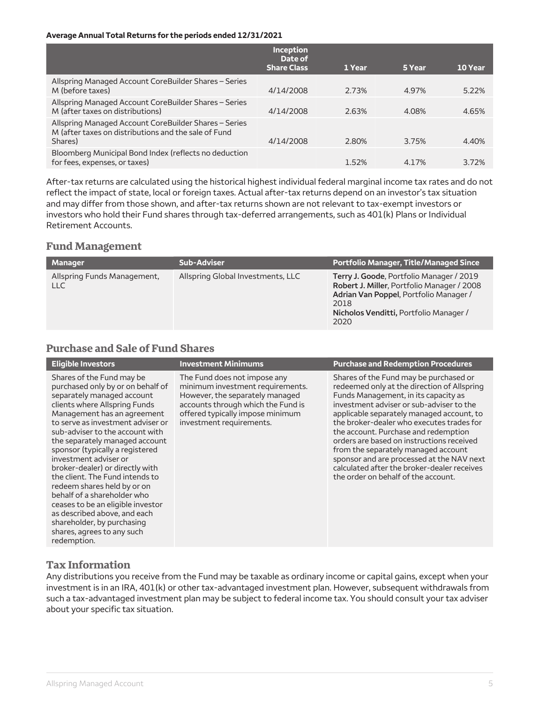#### **Average Annual Total Returns for the periods ended 12/31/2021**

|                                                                                                                          | <b>Inception</b><br>Date of<br><b>Share Class</b> | 1 Year | 5 Year | <b>10 Year</b> |
|--------------------------------------------------------------------------------------------------------------------------|---------------------------------------------------|--------|--------|----------------|
| Allspring Managed Account CoreBuilder Shares – Series<br>M (before taxes)                                                | 4/14/2008                                         | 2.73%  | 4.97%  | 5.22%          |
| Allspring Managed Account CoreBuilder Shares - Series<br>M (after taxes on distributions)                                | 4/14/2008                                         | 2.63%  | 4.08%  | 4.65%          |
| Allspring Managed Account CoreBuilder Shares - Series<br>M (after taxes on distributions and the sale of Fund<br>Shares) | 4/14/2008                                         | 2.80%  | 3.75%  | 4.40%          |
| Bloomberg Municipal Bond Index (reflects no deduction<br>for fees, expenses, or taxes)                                   |                                                   | 1.52%  | 4.17%  | 3.72%          |

After-tax returns are calculated using the historical highest individual federal marginal income tax rates and do not reflect the impact of state, local or foreign taxes. Actual after-tax returns depend on an investor's tax situation and may differ from those shown, and after-tax returns shown are not relevant to tax-exempt investors or investors who hold their Fund shares through tax-deferred arrangements, such as 401(k) Plans or Individual Retirement Accounts.

#### **Fund Management**

| <b>Manager</b>                            | <b>Sub-Adviser</b>                | <b>Portfolio Manager, Title/Managed Since</b>                                                                                                                                              |
|-------------------------------------------|-----------------------------------|--------------------------------------------------------------------------------------------------------------------------------------------------------------------------------------------|
| Allspring Funds Management,<br><b>LLC</b> | Allspring Global Investments, LLC | Terry J. Goode, Portfolio Manager / 2019<br>Robert J. Miller, Portfolio Manager / 2008<br>Adrian Van Poppel, Portfolio Manager /<br>2018<br>Nicholos Venditti, Portfolio Manager /<br>2020 |

### **Purchase and Sale of Fund Shares**

| <b>Eligible Investors</b>                                                                                                                                                                                                                                                                                                                                                                                                                                                                                                                                                                                              | <b>Investment Minimums</b>                                                                                                                                                                                | <b>Purchase and Redemption Procedures</b>                                                                                                                                                                                                                                                                                                                                                                                                                                                                                          |
|------------------------------------------------------------------------------------------------------------------------------------------------------------------------------------------------------------------------------------------------------------------------------------------------------------------------------------------------------------------------------------------------------------------------------------------------------------------------------------------------------------------------------------------------------------------------------------------------------------------------|-----------------------------------------------------------------------------------------------------------------------------------------------------------------------------------------------------------|------------------------------------------------------------------------------------------------------------------------------------------------------------------------------------------------------------------------------------------------------------------------------------------------------------------------------------------------------------------------------------------------------------------------------------------------------------------------------------------------------------------------------------|
| Shares of the Fund may be<br>purchased only by or on behalf of<br>separately managed account<br>clients where Allspring Funds<br>Management has an agreement<br>to serve as investment adviser or<br>sub-adviser to the account with<br>the separately managed account<br>sponsor (typically a registered<br>investment adviser or<br>broker-dealer) or directly with<br>the client. The Fund intends to<br>redeem shares held by or on<br>behalf of a shareholder who<br>ceases to be an eligible investor<br>as described above, and each<br>shareholder, by purchasing<br>shares, agrees to any such<br>redemption. | The Fund does not impose any<br>minimum investment requirements.<br>However, the separately managed<br>accounts through which the Fund is<br>offered typically impose minimum<br>investment requirements. | Shares of the Fund may be purchased or<br>redeemed only at the direction of Allspring<br>Funds Management, in its capacity as<br>investment adviser or sub-adviser to the<br>applicable separately managed account, to<br>the broker-dealer who executes trades for<br>the account. Purchase and redemption<br>orders are based on instructions received<br>from the separately managed account<br>sponsor and are processed at the NAV next<br>calculated after the broker-dealer receives<br>the order on behalf of the account. |

#### **Tax Information**

Any distributions you receive from the Fund may be taxable as ordinary income or capital gains, except when your investment is in an IRA, 401(k) or other tax-advantaged investment plan. However, subsequent withdrawals from such a tax-advantaged investment plan may be subject to federal income tax. You should consult your tax adviser about your specific tax situation.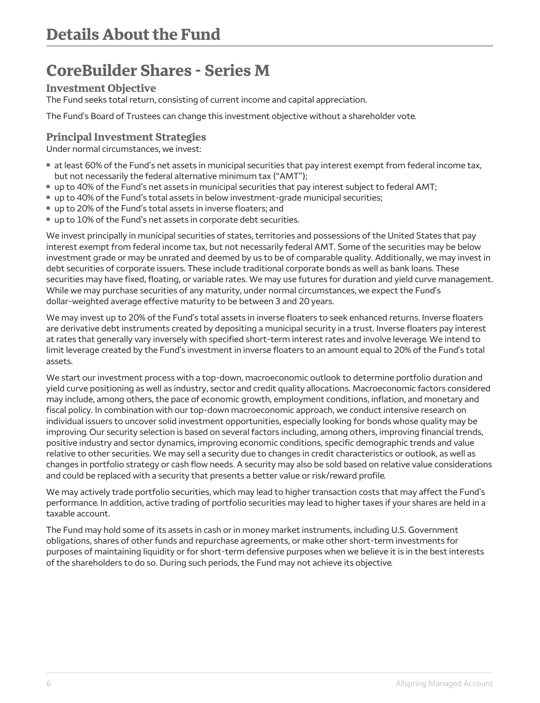### <span id="page-6-0"></span>**CoreBuilder Shares - Series M**

#### **Investment Objective**

The Fund seeks total return, consisting of current income and capital appreciation.

The Fund's Board of Trustees can change this investment objective without a shareholder vote.

#### **Principal Investment Strategies**

Under normal circumstances, we invest:

- **If at least 60% of the Fund's net assets in municipal securities that pay interest exempt from federal income tax,** but not necessarily the federal alternative minimum tax ("AMT");
- up to 40% of the Fund's net assets in municipal securities that pay interest subject to federal AMT;
- **up to 40% of the Fund's total assets in below investment-grade municipal securities;**
- up to 20% of the Fund's total assets in inverse floaters; and
- up to 10% of the Fund's net assets in corporate debt securities.

We invest principally in municipal securities of states, territories and possessions of the United States that pay interest exempt from federal income tax, but not necessarily federal AMT. Some of the securities may be below investment grade or may be unrated and deemed by us to be of comparable quality. Additionally, we may invest in debt securities of corporate issuers. These include traditional corporate bonds as well as bank loans. These securities may have fixed, floating, or variable rates. We may use futures for duration and yield curve management. While we may purchase securities of any maturity, under normal circumstances, we expect the Fund's dollar-weighted average effective maturity to be between 3 and 20 years.

We may invest up to 20% of the Fund's total assets in inverse floaters to seek enhanced returns. Inverse floaters are derivative debt instruments created by depositing a municipal security in a trust. Inverse floaters pay interest at rates that generally vary inversely with specified short-term interest rates and involve leverage. We intend to limit leverage created by the Fund's investment in inverse floaters to an amount equal to 20% of the Fund's total assets.

We start our investment process with a top-down, macroeconomic outlook to determine portfolio duration and yield curve positioning as well as industry, sector and credit quality allocations. Macroeconomic factors considered may include, among others, the pace of economic growth, employment conditions, inflation, and monetary and fiscal policy. In combination with our top-down macroeconomic approach, we conduct intensive research on individual issuers to uncover solid investment opportunities, especially looking for bonds whose quality may be improving. Our security selection is based on several factors including, among others, improving financial trends, positive industry and sector dynamics, improving economic conditions, specific demographic trends and value relative to other securities. We may sell a security due to changes in credit characteristics or outlook, as well as changes in portfolio strategy or cash flow needs. A security may also be sold based on relative value considerations and could be replaced with a security that presents a better value or risk/reward profile.

We may actively trade portfolio securities, which may lead to higher transaction costs that may affect the Fund's performance. In addition, active trading of portfolio securities may lead to higher taxes if your shares are held in a taxable account.

The Fund may hold some of its assets in cash or in money market instruments, including U.S. Government obligations, shares of other funds and repurchase agreements, or make other short-term investments for purposes of maintaining liquidity or for short-term defensive purposes when we believe it is in the best interests of the shareholders to do so. During such periods, the Fund may not achieve its objective.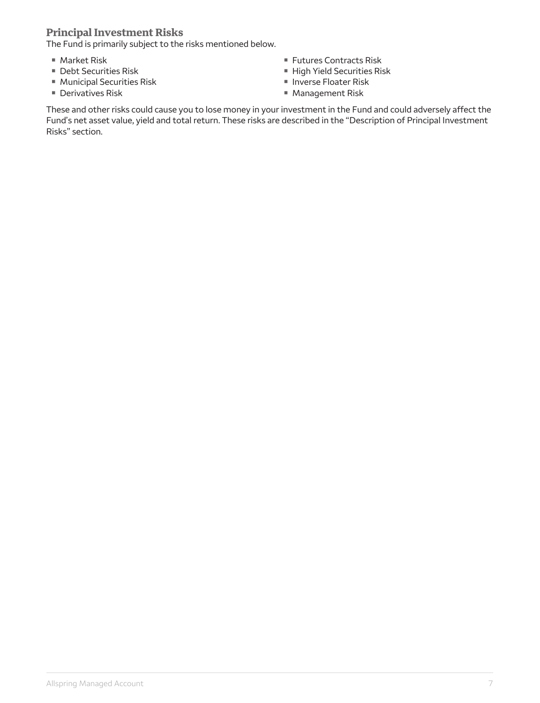#### **Principal Investment Risks**

The Fund is primarily subject to the risks mentioned below.

- $M$  Market Risk
- **Debt Securities Risk**
- **Municipal Securities Risk**
- Derivatives Risk
- **Futures Contracts Risk**
- **High Yield Securities Risk**
- **Inverse Floater Risk**
- Management Risk

These and other risks could cause you to lose money in your investment in the Fund and could adversely affect the Fund's net asset value, yield and total return. These risks are described in the "Description of Principal Investment Risks" section.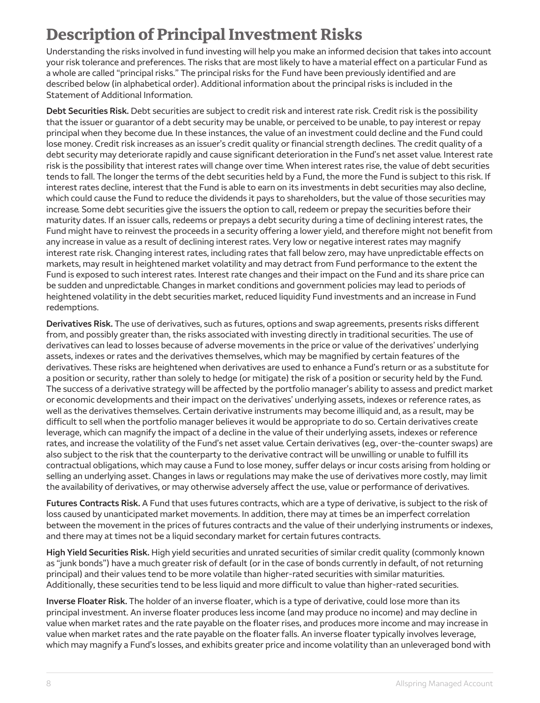## <span id="page-8-0"></span>**Description of Principal Investment Risks**

Understanding the risks involved in fund investing will help you make an informed decision that takes into account your risk tolerance and preferences. The risks that are most likely to have a material effect on a particular Fund as a whole are called "principal risks." The principal risks for the Fund have been previously identified and are described below (in alphabetical order). Additional information about the principal risks is included in the Statement of Additional Information.

**Debt Securities Risk.** Debt securities are subject to credit risk and interest rate risk. Credit risk is the possibility that the issuer or guarantor of a debt security may be unable, or perceived to be unable, to pay interest or repay principal when they become due. In these instances, the value of an investment could decline and the Fund could lose money. Credit risk increases as an issuer's credit quality or financial strength declines. The credit quality of a debt security may deteriorate rapidly and cause significant deterioration in the Fund's net asset value. Interest rate risk is the possibility that interest rates will change over time. When interest rates rise, the value of debt securities tends to fall. The longer the terms of the debt securities held by a Fund, the more the Fund is subject to this risk. If interest rates decline, interest that the Fund is able to earn on its investments in debt securities may also decline, which could cause the Fund to reduce the dividends it pays to shareholders, but the value of those securities may increase. Some debt securities give the issuers the option to call, redeem or prepay the securities before their maturity dates. If an issuer calls, redeems or prepays a debt security during a time of declining interest rates, the Fund might have to reinvest the proceeds in a security offering a lower yield, and therefore might not benefit from any increase in value as a result of declining interest rates. Very low or negative interest rates may magnify interest rate risk. Changing interest rates, including rates that fall below zero, may have unpredictable effects on markets, may result in heightened market volatility and may detract from Fund performance to the extent the Fund is exposed to such interest rates. Interest rate changes and their impact on the Fund and its share price can be sudden and unpredictable. Changes in market conditions and government policies may lead to periods of heightened volatility in the debt securities market, reduced liquidity Fund investments and an increase in Fund redemptions.

**Derivatives Risk.** The use of derivatives, such as futures, options and swap agreements, presents risks different from, and possibly greater than, the risks associated with investing directly in traditional securities. The use of derivatives can lead to losses because of adverse movements in the price or value of the derivatives' underlying assets, indexes or rates and the derivatives themselves, which may be magnified by certain features of the derivatives. These risks are heightened when derivatives are used to enhance a Fund's return or as a substitute for a position or security, rather than solely to hedge (or mitigate) the risk of a position or security held by the Fund. The success of a derivative strategy will be affected by the portfolio manager's ability to assess and predict market or economic developments and their impact on the derivatives' underlying assets, indexes or reference rates, as well as the derivatives themselves. Certain derivative instruments may become illiquid and, as a result, may be difficult to sell when the portfolio manager believes it would be appropriate to do so. Certain derivatives create leverage, which can magnify the impact of a decline in the value of their underlying assets, indexes or reference rates, and increase the volatility of the Fund's net asset value. Certain derivatives (e.q., over-the-counter swaps) are also subject to the risk that the counterparty to the derivative contract will be unwilling or unable to fulfill its contractual obligations, which may cause a Fund to lose money, suffer delays or incur costs arising from holding or selling an underlying asset. Changes in laws or regulations may make the use of derivatives more costly, may limit the availability of derivatives, or may otherwise adversely affect the use, value or performance of derivatives.

**Futures Contracts Risk.** A Fund that uses futures contracts, which are a type of derivative, is subject to the risk of loss caused by unanticipated market movements. In addition, there may at times be an imperfect correlation between the movement in the prices of futures contracts and the value of their underlying instruments or indexes, and there may at times not be a liquid secondary market for certain futures contracts.

**High Yield Securities Risk.** High yield securities and unrated securities of similar credit quality (commonly known as "junk bonds") have a much greater risk of default (or in the case of bonds currently in default, of not returning principal) and their values tend to be more volatile than higher-rated securities with similar maturities. Additionally, these securities tend to be less liquid and more difficult to value than higher-rated securities.

**Inverse Floater Risk.** The holder of an inverse floater, which is a type of derivative, could lose more than its principal investment. An inverse floater produces less income (and may produce no income) and may decline in value when market rates and the rate payable on the floater rises, and produces more income and may increase in value when market rates and the rate payable on the floater falls. An inverse floater typically involves leverage, which may magnify a Fund's losses, and exhibits greater price and income volatility than an unleveraged bond with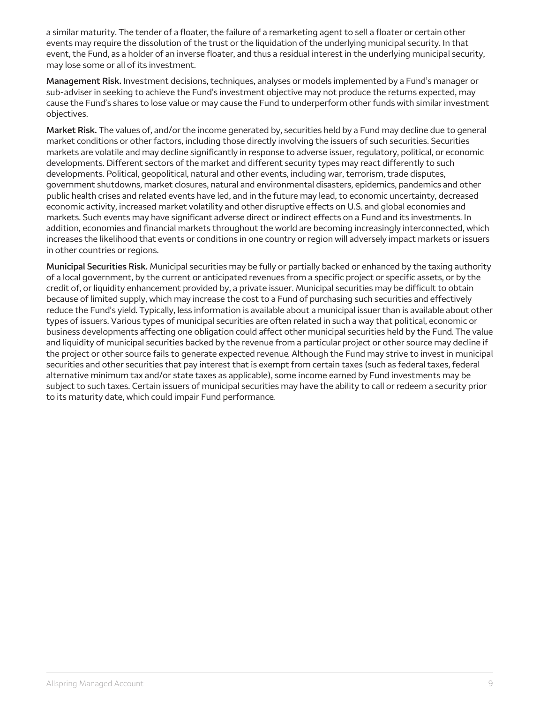a similar maturity. The tender of a floater, the failure of a remarketing agent to sell a floater or certain other events may require the dissolution of the trust or the liquidation of the underlying municipal security. In that event, the Fund, as a holder of an inverse floater, and thus a residual interest in the underlying municipal security, may lose some or all of its investment.

**Management Risk.** Investment decisions, techniques, analyses or models implemented by a Fund's manager or sub-adviser in seeking to achieve the Fund's investment objective may not produce the returns expected, may cause the Fund's shares to lose value or may cause the Fund to underperform other funds with similar investment objectives.

**Market Risk.** The values of, and/or the income generated by, securities held by a Fund may decline due to general market conditions or other factors, including those directly involving the issuers of such securities. Securities markets are volatile and may decline significantly in response to adverse issuer, regulatory, political, or economic developments. Different sectors of the market and different security types may react differently to such developments. Political, geopolitical, natural and other events, including war, terrorism, trade disputes, government shutdowns, market closures, natural and environmental disasters, epidemics, pandemics and other public health crises and related events have led, and in the future may lead, to economic uncertainty, decreased economic activity, increased market volatility and other disruptive effects on U.S. and global economies and markets. Such events may have significant adverse direct or indirect effects on a Fund and its investments. In addition, economies and financial markets throughout the world are becoming increasingly interconnected, which increases the likelihood that events or conditions in one country or region will adversely impact markets or issuers in other countries or regions.

**Municipal Securities Risk.** Municipal securities may be fully or partially backed or enhanced by the taxing authority of a local government, by the current or anticipated revenues from a specific project or specific assets, or by the credit of, or liquidity enhancement provided by, a private issuer. Municipal securities may be difficult to obtain because of limited supply, which may increase the cost to a Fund of purchasing such securities and effectively reduce the Fund's yield. Typically, less information is available about a municipal issuer than is available about other types of issuers. Various types of municipal securities are often related in such a way that political, economic or business developments affecting one obligation could affect other municipal securities held by the Fund. The value and liquidity of municipal securities backed by the revenue from a particular project or other source may decline if the project or other source fails to generate expected revenue. Although the Fund may strive to invest in municipal securities and other securities that pay interest that is exempt from certain taxes (such as federal taxes, federal alternative minimum tax and/or state taxes as applicable), some income earned by Fund investments may be subject to such taxes. Certain issuers of municipal securities may have the ability to call or redeem a security prior to its maturity date, which could impair Fund performance.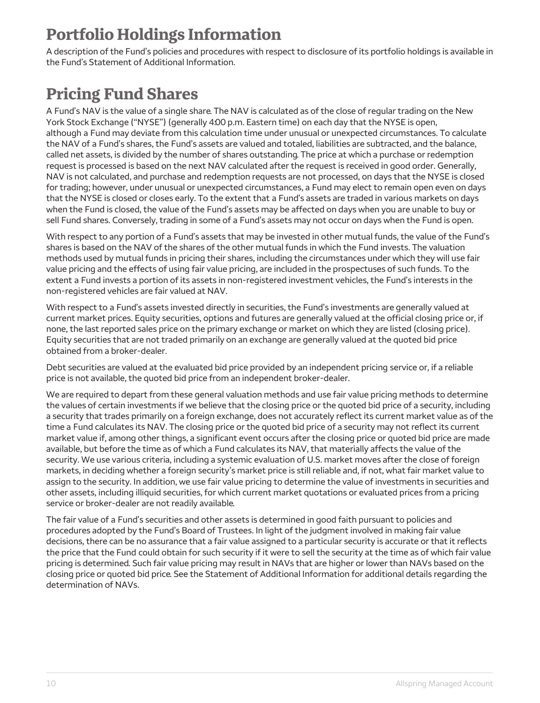## <span id="page-10-0"></span>**Portfolio Holdings Information**

A description of the Fund's policies and procedures with respect to disclosure of its portfolio holdings is available in the Fund's Statement of Additional Information.

# <span id="page-10-1"></span>**Pricing Fund Shares**

A Fund's NAV is the value of a single share. The NAV is calculated as of the close of regular trading on the New York Stock Exchange ("NYSE") (generally 4:00 p.m. Eastern time) on each day that the NYSE is open, although a Fund may deviate from this calculation time under unusual or unexpected circumstances. To calculate the NAV of a Fund's shares, the Fund's assets are valued and totaled, liabilities are subtracted, and the balance, called net assets, is divided by the number of shares outstanding. The price at which a purchase or redemption request is processed is based on the next NAV calculated after the request is received in good order. Generally, NAV is not calculated, and purchase and redemption requests are not processed, on days that the NYSE is closed for trading; however, under unusual or unexpected circumstances, a Fund may elect to remain open even on days that the NYSE is closed or closes early. To the extent that a Fund's assets are traded in various markets on days when the Fund is closed, the value of the Fund's assets may be affected on days when you are unable to buy or sell Fund shares. Conversely, trading in some of a Fund's assets may not occur on days when the Fund is open.

With respect to any portion of a Fund's assets that may be invested in other mutual funds, the value of the Fund's shares is based on the NAV of the shares of the other mutual funds in which the Fund invests. The valuation methods used by mutual funds in pricing their shares, including the circumstances under which they will use fair value pricing and the effects of using fair value pricing, are included in the prospectuses of such funds. To the extent a Fund invests a portion of its assets in non-registered investment vehicles, the Fund's interests in the non-registered vehicles are fair valued at NAV.

With respect to a Fund's assets invested directly in securities, the Fund's investments are generally valued at current market prices. Equity securities, options and futures are generally valued at the official closing price or, if none, the last reported sales price on the primary exchange or market on which they are listed (closing price). Equity securities that are not traded primarily on an exchange are generally valued at the quoted bid price obtained from a broker-dealer.

Debt securities are valued at the evaluated bid price provided by an independent pricing service or, if a reliable price is not available, the quoted bid price from an independent broker-dealer.

We are required to depart from these general valuation methods and use fair value pricing methods to determine the values of certain investments if we believe that the closing price or the quoted bid price of a security, including a security that trades primarily on a foreign exchange, does not accurately reflect its current market value as of the time a Fund calculates its NAV. The closing price or the quoted bid price of a security may not reflect its current market value if, among other things, a significant event occurs after the closing price or quoted bid price are made available, but before the time as of which a Fund calculates its NAV, that materially affects the value of the security. We use various criteria, including a systemic evaluation of U.S. market moves after the close of foreign markets, in deciding whether a foreign security's market price is still reliable and, if not, what fair market value to assign to the security. In addition, we use fair value pricing to determine the value of investments in securities and other assets, including illiquid securities, for which current market quotations or evaluated prices from a pricing service or broker-dealer are not readily available.

The fair value of a Fund's securities and other assets is determined in good faith pursuant to policies and procedures adopted by the Fund's Board of Trustees. In light of the judgment involved in making fair value decisions, there can be no assurance that a fair value assigned to a particular security is accurate or that it reflects the price that the Fund could obtain for such security if it were to sell the security at the time as of which fair value pricing is determined. Such fair value pricing may result in NAVs that are higher or lower than NAVs based on the closing price or quoted bid price. See the Statement of Additional Information for additional details regarding the determination of NAVs.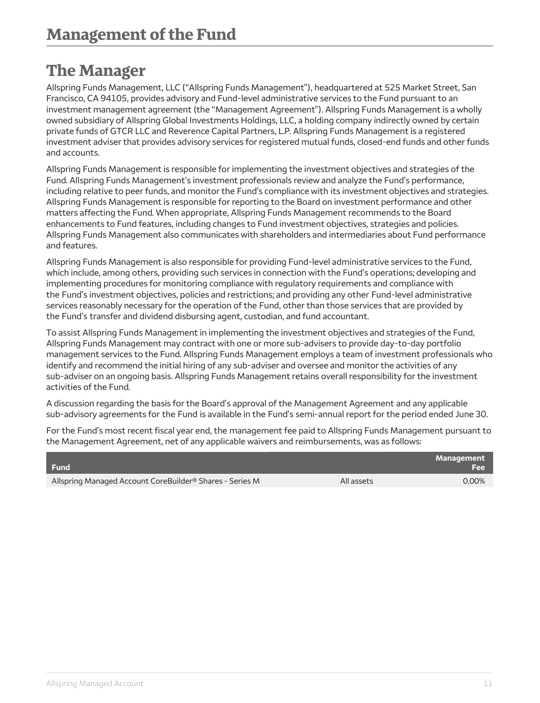### <span id="page-11-0"></span>**The Manager**

Allspring Funds Management, LLC ("Allspring Funds Management"), headquartered at 525 Market Street, San Francisco, CA 94105, provides advisory and Fund-level administrative services to the Fund pursuant to an investment management agreement (the "Management Agreement"). Allspring Funds Management is a wholly owned subsidiary of Allspring Global Investments Holdings, LLC, a holding company indirectly owned by certain private funds of GTCR LLC and Reverence Capital Partners, L.P. Allspring Funds Management is a registered investment adviser that provides advisory services for registered mutual funds, closed-end funds and other funds and accounts.

Allspring Funds Management is responsible for implementing the investment objectives and strategies of the Fund. Allspring Funds Management's investment professionals review and analyze the Fund's performance, including relative to peer funds, and monitor the Fund's compliance with its investment objectives and strategies. Allspring Funds Management is responsible for reporting to the Board on investment performance and other matters affecting the Fund. When appropriate, Allspring Funds Management recommends to the Board enhancements to Fund features, including changes to Fund investment objectives, strategies and policies. Allspring Funds Management also communicates with shareholders and intermediaries about Fund performance and features.

Allspring Funds Management is also responsible for providing Fund-level administrative services to the Fund, which include, among others, providing such services in connection with the Fund's operations; developing and implementing procedures for monitoring compliance with regulatory requirements and compliance with the Fund's investment objectives, policies and restrictions; and providing any other Fund-level administrative services reasonably necessary for the operation of the Fund, other than those services that are provided by the Fund's transfer and dividend disbursing agent, custodian, and fund accountant.

To assist Allspring Funds Management in implementing the investment objectives and strategies of the Fund, Allspring Funds Management may contract with one or more sub-advisers to provide day-to-day portfolio management services to the Fund. Allspring Funds Management employs a team of investment professionals who identify and recommend the initial hiring of any sub-adviser and oversee and monitor the activities of any sub-adviser on an ongoing basis. Allspring Funds Management retains overall responsibility for the investment activities of the Fund.

A discussion regarding the basis for the Board's approval of the Management Agreement and any applicable sub-advisory agreements for the Fund is available in the Fund's semi-annual report for the period ended June 30.

For the Fund's most recent fiscal year end, the management fee paid to Allspring Funds Management pursuant to the Management Agreement, net of any applicable waivers and reimbursements, was as follows:

| <b>Fund</b>                                                          | <b>Management</b><br><b>Fee</b> |
|----------------------------------------------------------------------|---------------------------------|
| Allspring Managed Account CoreBuilder <sup>®</sup> Shares - Series M | 0.00%<br>All assets             |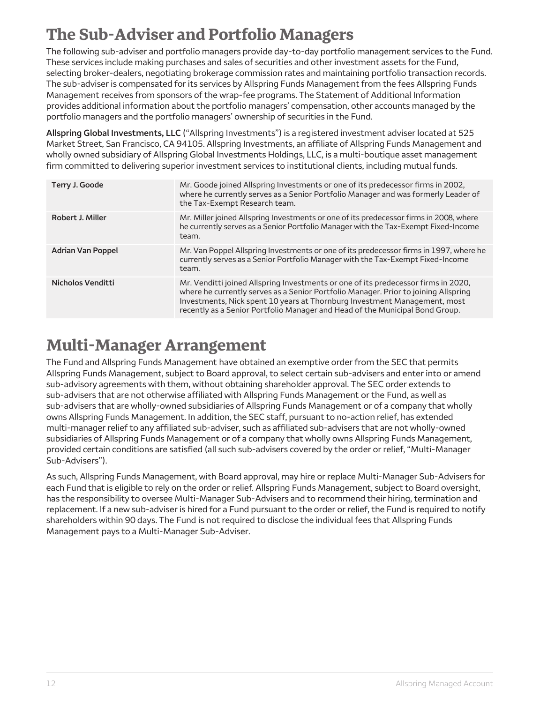## <span id="page-12-0"></span>**The Sub-Adviser and Portfolio Managers**

The following sub-adviser and portfolio managers provide day-to-day portfolio management services to the Fund. These services include making purchases and sales of securities and other investment assets for the Fund, selecting broker-dealers, negotiating brokerage commission rates and maintaining portfolio transaction records. The sub-adviser is compensated for its services by Allspring Funds Management from the fees Allspring Funds Management receives from sponsors of the wrap-fee programs. The Statement of Additional Information provides additional information about the portfolio managers' compensation, other accounts managed by the portfolio managers and the portfolio managers' ownership of securities in the Fund.

**Allspring Global Investments, LLC** ("Allspring Investments") is a registered investment adviser located at 525 Market Street, San Francisco, CA 94105. Allspring Investments, an affiliate of Allspring Funds Management and wholly owned subsidiary of Allspring Global Investments Holdings, LLC, is a multi-boutique asset management firm committed to delivering superior investment services to institutional clients, including mutual funds.

| Terry J. Goode           | Mr. Goode joined Allspring Investments or one of its predecessor firms in 2002,<br>where he currently serves as a Senior Portfolio Manager and was formerly Leader of<br>the Tax-Exempt Research team.                                                                                                                                 |
|--------------------------|----------------------------------------------------------------------------------------------------------------------------------------------------------------------------------------------------------------------------------------------------------------------------------------------------------------------------------------|
| Robert J. Miller         | Mr. Miller joined Allspring Investments or one of its predecessor firms in 2008, where<br>he currently serves as a Senior Portfolio Manager with the Tax-Exempt Fixed-Income<br>team.                                                                                                                                                  |
| <b>Adrian Van Poppel</b> | Mr. Van Poppel Allspring Investments or one of its predecessor firms in 1997, where he<br>currently serves as a Senior Portfolio Manager with the Tax-Exempt Fixed-Income<br>team.                                                                                                                                                     |
| Nicholos Venditti        | Mr. Venditti joined Allspring Investments or one of its predecessor firms in 2020,<br>where he currently serves as a Senior Portfolio Manager. Prior to joining Allspring<br>Investments, Nick spent 10 years at Thornburg Investment Management, most<br>recently as a Senior Portfolio Manager and Head of the Municipal Bond Group. |

### <span id="page-12-1"></span>**Multi-Manager Arrangement**

The Fund and Allspring Funds Management have obtained an exemptive order from the SEC that permits Allspring Funds Management, subject to Board approval, to select certain sub-advisers and enter into or amend sub-advisory agreements with them, without obtaining shareholder approval. The SEC order extends to sub-advisers that are not otherwise affiliated with Allspring Funds Management or the Fund, as well as sub-advisers that are wholly-owned subsidiaries of Allspring Funds Management or of a company that wholly owns Allspring Funds Management. In addition, the SEC staff, pursuant to no-action relief, has extended multi-manager relief to any affiliated sub-adviser, such as affiliated sub-advisers that are not wholly-owned subsidiaries of Allspring Funds Management or of a company that wholly owns Allspring Funds Management, provided certain conditions are satisfied (all such sub-advisers covered by the order or relief, "Multi-Manager Sub-Advisers").

As such, Allspring Funds Management, with Board approval, may hire or replace Multi-Manager Sub-Advisers for each Fund that is eligible to rely on the order or relief. Allspring Funds Management, subject to Board oversight, has the responsibility to oversee Multi-Manager Sub-Advisers and to recommend their hiring, termination and replacement. If a new sub-adviser is hired for a Fund pursuant to the order or relief, the Fund is required to notify shareholders within 90 days. The Fund is not required to disclose the individual fees that Allspring Funds Management pays to a Multi-Manager Sub-Adviser.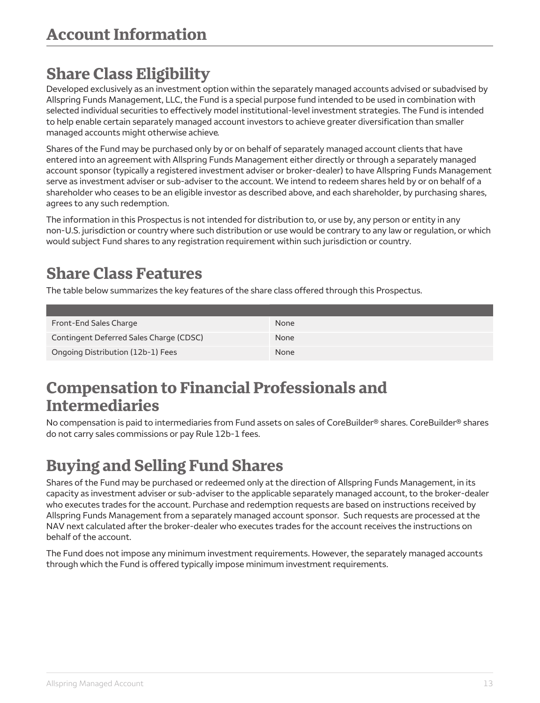## <span id="page-13-0"></span>**Share Class Eligibility**

Developed exclusively as an investment option within the separately managed accounts advised or subadvised by Allspring Funds Management, LLC, the Fund is a special purpose fund intended to be used in combination with selected individual securities to effectively model institutional-level investment strategies. The Fund is intended to help enable certain separately managed account investors to achieve greater diversification than smaller managed accounts might otherwise achieve.

Shares of the Fund may be purchased only by or on behalf of separately managed account clients that have entered into an agreement with Allspring Funds Management either directly or through a separately managed account sponsor (typically a registered investment adviser or broker-dealer) to have Allspring Funds Management serve as investment adviser or sub-adviser to the account. We intend to redeem shares held by or on behalf of a shareholder who ceases to be an eligible investor as described above, and each shareholder, by purchasing shares, agrees to any such redemption.

The information in this Prospectus is not intended for distribution to, or use by, any person or entity in any non-U.S. jurisdiction or country where such distribution or use would be contrary to any law or regulation, or which would subject Fund shares to any registration requirement within such jurisdiction or country.

## <span id="page-13-1"></span>**Share Class Features**

The table below summarizes the key features of the share class offered through this Prospectus.

| Front-End Sales Charge                  | <b>None</b> |
|-----------------------------------------|-------------|
| Contingent Deferred Sales Charge (CDSC) | <b>None</b> |
| Ongoing Distribution (12b-1) Fees       | <b>None</b> |

### <span id="page-13-2"></span>**Compensation to Financial Professionals and Intermediaries**

No compensation is paid to intermediaries from Fund assets on sales of CoreBuilder® shares. CoreBuilder® shares do not carry sales commissions or pay Rule 12b-1 fees.

## <span id="page-13-3"></span>**Buying and Selling Fund Shares**

Shares of the Fund may be purchased or redeemed only at the direction of Allspring Funds Management, in its capacity as investment adviser or sub-adviser to the applicable separately managed account, to the broker-dealer who executes trades for the account. Purchase and redemption requests are based on instructions received by Allspring Funds Management from a separately managed account sponsor. Such requests are processed at the NAV next calculated after the broker-dealer who executes trades for the account receives the instructions on behalf of the account.

The Fund does not impose any minimum investment requirements. However, the separately managed accounts through which the Fund is offered typically impose minimum investment requirements.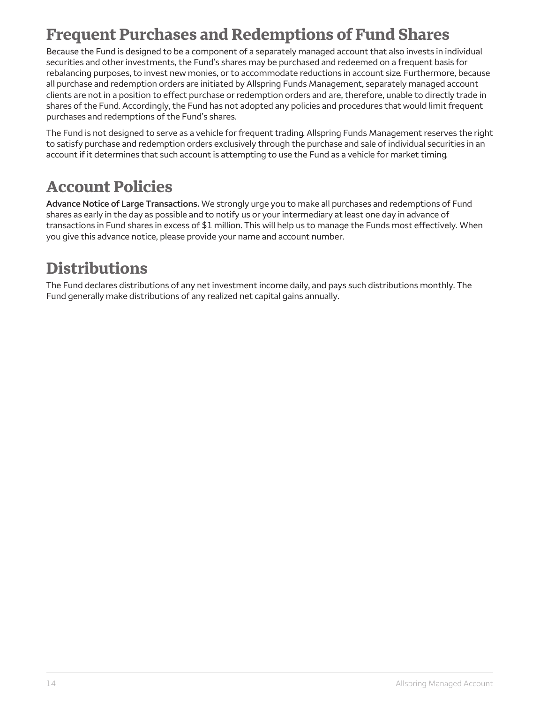## <span id="page-14-0"></span>**Frequent Purchases and Redemptions of Fund Shares**

Because the Fund is designed to be a component of a separately managed account that also invests in individual securities and other investments, the Fund's shares may be purchased and redeemed on a frequent basis for rebalancing purposes, to invest new monies, or to accommodate reductions in account size. Furthermore, because all purchase and redemption orders are initiated by Allspring Funds Management, separately managed account clients are not in a position to effect purchase or redemption orders and are, therefore, unable to directly trade in shares of the Fund. Accordingly, the Fund has not adopted any policies and procedures that would limit frequent purchases and redemptions of the Fund's shares.

The Fund is not designed to serve as a vehicle for frequent trading. Allspring Funds Management reserves the right to satisfy purchase and redemption orders exclusively through the purchase and sale of individual securities in an account if it determines that such account is attempting to use the Fund as a vehicle for market timing.

## <span id="page-14-1"></span>**Account Policies**

**Advance Notice of Large Transactions.** We strongly urge you to make all purchases and redemptions of Fund shares as early in the day as possible and to notify us or your intermediary at least one day in advance of transactions in Fund shares in excess of \$1 million. This will help us to manage the Funds most effectively. When you give this advance notice, please provide your name and account number.

### <span id="page-14-2"></span>**Distributions**

The Fund declares distributions of any net investment income daily, and pays such distributions monthly. The Fund generally make distributions of any realized net capital gains annually.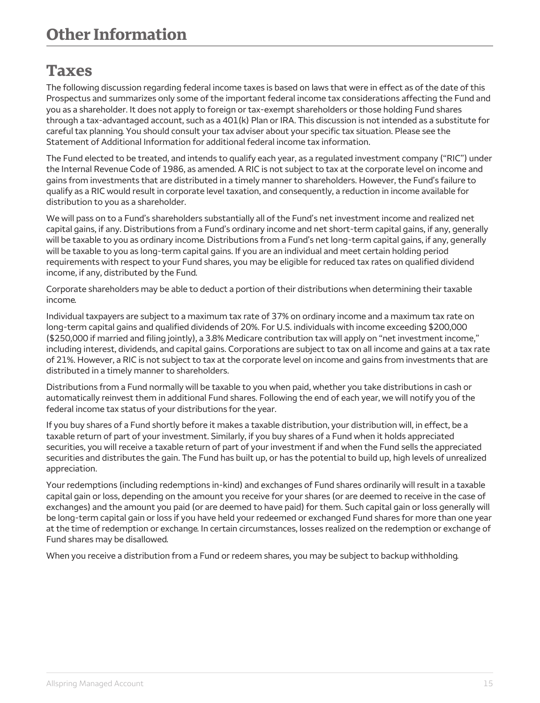### <span id="page-15-0"></span>**Taxes**

The following discussion regarding federal income taxes is based on laws that were in effect as of the date of this Prospectus and summarizes only some of the important federal income tax considerations affecting the Fund and you as a shareholder. It does not apply to foreign or tax-exempt shareholders or those holding Fund shares through a tax-advantaged account, such as a 401(k) Plan or IRA. This discussion is not intended as a substitute for careful tax planning. You should consult your tax adviser about your specific tax situation. Please see the Statement of Additional Information for additional federal income tax information.

The Fund elected to be treated, and intends to qualify each year, as a regulated investment company ("RIC") under the Internal Revenue Code of 1986, as amended. A RIC is not subject to tax at the corporate level on income and gains from investments that are distributed in a timely manner to shareholders. However, the Fund's failure to qualify as a RIC would result in corporate level taxation, and consequently, a reduction in income available for distribution to you as a shareholder.

We will pass on to a Fund's shareholders substantially all of the Fund's net investment income and realized net capital gains, if any. Distributions from a Fund's ordinary income and net short-term capital gains, if any, generally will be taxable to you as ordinary income. Distributions from a Fund's net long-term capital gains, if any, generally will be taxable to you as long-term capital gains. If you are an individual and meet certain holding period requirements with respect to your Fund shares, you may be eligible for reduced tax rates on qualified dividend income, if any, distributed by the Fund.

Corporate shareholders may be able to deduct a portion of their distributions when determining their taxable income.

Individual taxpayers are subject to a maximum tax rate of 37% on ordinary income and a maximum tax rate on long-term capital gains and qualified dividends of 20%. For U.S. individuals with income exceeding \$200,000 (\$250,000 if married and filing jointly), a 3.8% Medicare contribution tax will apply on "net investment income," including interest, dividends, and capital gains. Corporations are subject to tax on all income and gains at a tax rate of 21%. However, a RIC is not subject to tax at the corporate level on income and gains from investments that are distributed in a timely manner to shareholders.

Distributions from a Fund normally will be taxable to you when paid, whether you take distributions in cash or automatically reinvest them in additional Fund shares. Following the end of each year, we will notify you of the federal income tax status of your distributions for the year.

If you buy shares of a Fund shortly before it makes a taxable distribution, your distribution will, in effect, be a taxable return of part of your investment. Similarly, if you buy shares of a Fund when it holds appreciated securities, you will receive a taxable return of part of your investment if and when the Fund sells the appreciated securities and distributes the gain. The Fund has built up, or has the potential to build up, high levels of unrealized appreciation.

Your redemptions (including redemptions in-kind) and exchanges of Fund shares ordinarily will result in a taxable capital gain or loss, depending on the amount you receive for your shares (or are deemed to receive in the case of exchanges) and the amount you paid (or are deemed to have paid) for them. Such capital gain or loss generally will be long-term capital gain or loss if you have held your redeemed or exchanged Fund shares for more than one year at the time of redemption or exchange. In certain circumstances, losses realized on the redemption or exchange of Fund shares may be disallowed.

When you receive a distribution from a Fund or redeem shares, you may be subject to backup withholding.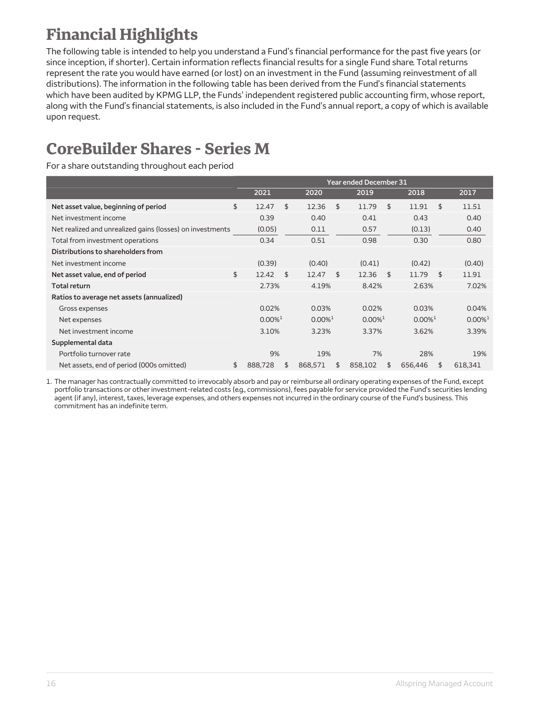# <span id="page-16-0"></span>**Financial Highlights**

The following table is intended to help you understand a Fund's financial performance for the past five years (or since inception, if shorter). Certain information reflects financial results for a single Fund share. Total returns represent the rate you would have earned (or lost) on an investment in the Fund (assuming reinvestment of all distributions). The information in the following table has been derived from the Fund's financial statements which have been audited by KPMG LLP, the Funds' independent registered public accounting firm, whose report, along with the Fund's financial statements, is also included in the Fund's annual report, a copy of which is available upon request.

## **CoreBuilder Shares - Series M**

For a share outstanding throughout each period

|                                                           | <b>Year ended December 31</b> |    |                       |    |                       |    |                       |                       |
|-----------------------------------------------------------|-------------------------------|----|-----------------------|----|-----------------------|----|-----------------------|-----------------------|
|                                                           | 2021                          |    | 2020                  |    | 2019                  |    | 2018                  | 2017                  |
| Net asset value, beginning of period                      | \$<br>12.47                   | \$ | 12.36                 | \$ | 11.79                 | \$ | 11.91                 | \$<br>11.51           |
| Net investment income                                     | 0.39                          |    | 0.40                  |    | 0.41                  |    | 0.43                  | 0.40                  |
| Net realized and unrealized gains (losses) on investments | (0.05)                        |    | 0.11                  |    | 0.57                  |    | (0.13)                | 0.40                  |
| Total from investment operations                          | 0.34                          |    | 0.51                  |    | 0.98                  |    | 0.30                  | 0.80                  |
| Distributions to shareholders from                        |                               |    |                       |    |                       |    |                       |                       |
| Net investment income                                     | (0.39)                        |    | (0.40)                |    | (0.41)                |    | (0.42)                | (0.40)                |
| Net asset value, end of period                            | \$<br>12.42                   | \$ | 12.47                 | \$ | 12.36                 | \$ | 11.79                 | \$<br>11.91           |
| <b>Total return</b>                                       | 2.73%                         |    | 4.19%                 |    | 8.42%                 |    | 2.63%                 | 7.02%                 |
| Ratios to average net assets (annualized)                 |                               |    |                       |    |                       |    |                       |                       |
| Gross expenses                                            | 0.02%                         |    | 0.03%                 |    | 0.02%                 |    | 0.03%                 | 0.04%                 |
| Net expenses                                              | $0.00\%$ <sup>1</sup>         |    | $0.00\%$ <sup>1</sup> |    | $0.00\%$ <sup>1</sup> |    | $0.00\%$ <sup>1</sup> | $0.00\%$ <sup>1</sup> |
| Net investment income                                     | 3.10%                         |    | 3.23%                 |    | 3.37%                 |    | 3.62%                 | 3.39%                 |
| Supplemental data                                         |                               |    |                       |    |                       |    |                       |                       |
| Portfolio turnover rate                                   | 9%                            |    | 19%                   |    | 7%                    |    | 28%                   | 19%                   |
| Net assets, end of period (000s omitted)                  | \$<br>888,728                 | \$ | 868,571               | \$ | 858,102               | \$ | 656,446               | \$<br>618,341         |

1. The manager has contractually committed to irrevocably absorb and pay or reimburse all ordinary operating expenses of the Fund, except portfolio transactions or other investment-related costs (e.g., commissions), fees payable for service provided the Fund's securities lending agent (if any), interest, taxes, leverage expenses, and others expenses not incurred in the ordinary course of the Fund's business. This commitment has an indefinite term.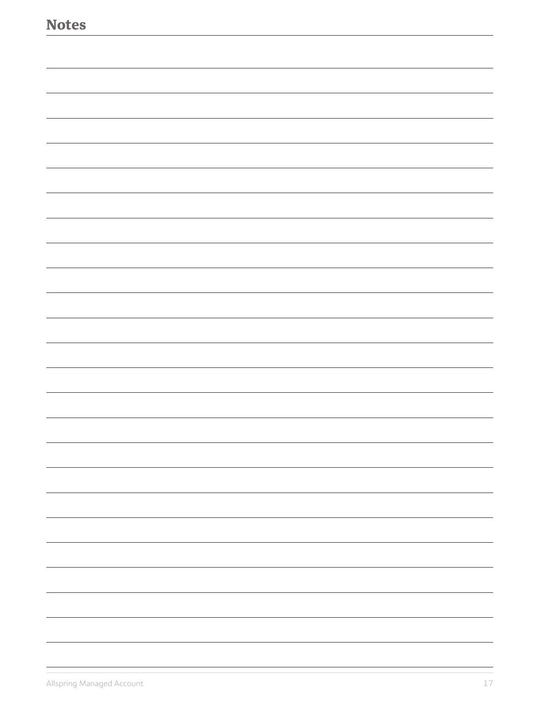| <b>Notes</b> |   |
|--------------|---|
|              |   |
|              |   |
|              |   |
|              |   |
|              |   |
|              |   |
|              |   |
|              |   |
|              |   |
|              |   |
|              |   |
|              |   |
|              |   |
|              |   |
|              |   |
|              |   |
|              |   |
|              |   |
|              |   |
|              | - |
|              |   |
|              |   |
|              | - |
|              |   |
|              |   |
|              |   |
|              |   |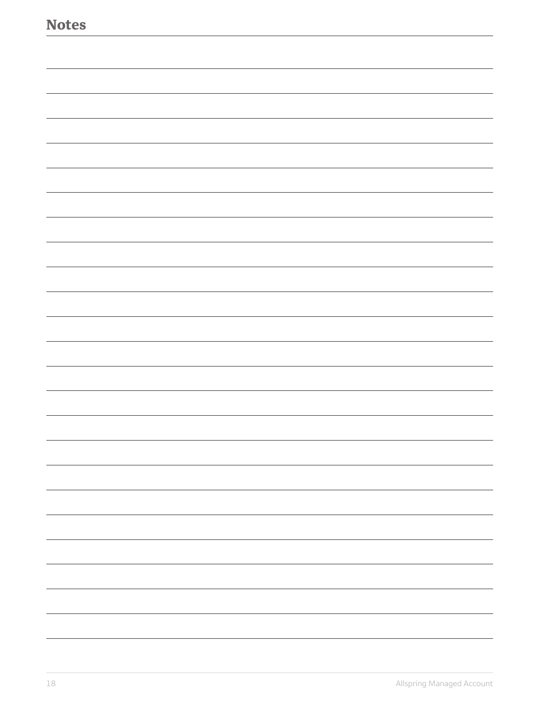| <b>Notes</b> |  |
|--------------|--|
|              |  |
|              |  |
|              |  |
|              |  |
|              |  |
|              |  |
|              |  |
|              |  |
|              |  |
|              |  |
|              |  |
|              |  |
|              |  |
|              |  |
|              |  |
|              |  |
|              |  |
|              |  |
|              |  |
|              |  |
|              |  |
|              |  |
|              |  |
|              |  |
|              |  |
|              |  |
|              |  |
|              |  |
|              |  |
|              |  |
|              |  |